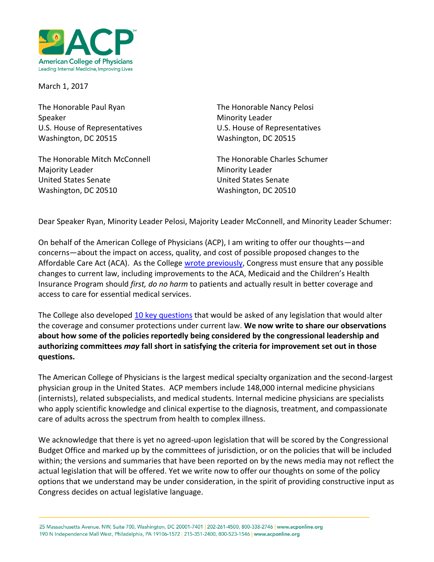

March 1, 2017

The Honorable Paul Ryan The Honorable Nancy Pelosi Speaker Minority Leader Washington, DC 20515 Washington, DC 20515

Majority Leader **Minority Leader** Minority Leader United States Senate United States Senate Washington, DC 20510 Washington, DC 20510

U.S. House of Representatives U.S. House of Representatives

The Honorable Mitch McConnell The Honorable Charles Schumer

Dear Speaker Ryan, Minority Leader Pelosi, Majority Leader McConnell, and Minority Leader Schumer:

On behalf of the American College of Physicians (ACP), I am writing to offer our thoughts—and concerns—about the impact on access, quality, and cost of possible proposed changes to the Affordable Care Act (ACA). As the College [wrote previously,](https://www.acponline.org/acp_policy/letters/letter_to_house_senate_leaders_outlining_considerations_for_any_aca_alternative_2017.pdf) Congress must ensure that any possible changes to current law, including improvements to the ACA, Medicaid and the Children's Health Insurance Program should *first, do no harm* to patients and actually result in better coverage and access to care for essential medical services.

The College also develope[d 10 key questions](https://www.acponline.org/system/files/documents/advocacy/where_we_stand/assets/do_no_harm_two_pager_aca_repeal_2016.pdf) that would be asked of any legislation that would alter the coverage and consumer protections under current law. **We now write to share our observations about how some of the policies reportedly being considered by the congressional leadership and authorizing committees** *may* **fall short in satisfying the criteria for improvement set out in those questions.** 

The American College of Physicians is the largest medical specialty organization and the second-largest physician group in the United States. ACP members include 148,000 internal medicine physicians (internists), related subspecialists, and medical students. Internal medicine physicians are specialists who apply scientific knowledge and clinical expertise to the diagnosis, treatment, and compassionate care of adults across the spectrum from health to complex illness.

We acknowledge that there is yet no agreed-upon legislation that will be scored by the Congressional Budget Office and marked up by the committees of jurisdiction, or on the policies that will be included within; the versions and summaries that have been reported on by the news media may not reflect the actual legislation that will be offered. Yet we write now to offer our thoughts on some of the policy options that we understand may be under consideration, in the spirit of providing constructive input as Congress decides on actual legislative language.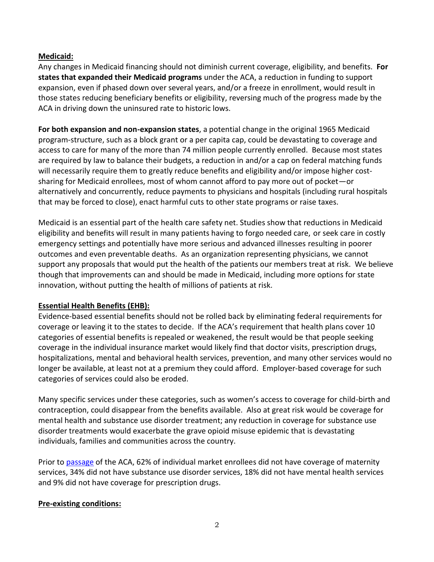## **Medicaid:**

Any changes in Medicaid financing should not diminish current coverage, eligibility, and benefits. **For states that expanded their Medicaid programs** under the ACA, a reduction in funding to support expansion, even if phased down over several years, and/or a freeze in enrollment, would result in those states reducing beneficiary benefits or eligibility, reversing much of the progress made by the ACA in driving down the uninsured rate to historic lows.

**For both expansion and non-expansion states**, a potential change in the original 1965 Medicaid program-structure, such as a block grant or a per capita cap, could be devastating to coverage and access to care for many of the more than 74 million people currently enrolled. Because most states are required by law to balance their budgets, a reduction in and/or a cap on federal matching funds will necessarily require them to greatly reduce benefits and eligibility and/or impose higher costsharing for Medicaid enrollees, most of whom cannot afford to pay more out of pocket—or alternatively and concurrently, reduce payments to physicians and hospitals (including rural hospitals that may be forced to close), enact harmful cuts to other state programs or raise taxes.

Medicaid is an essential part of the health care safety net. Studies show that reductions in Medicaid eligibility and benefits will result in many patients having to forgo needed care, or seek care in costly emergency settings and potentially have more serious and advanced illnesses resulting in poorer outcomes and even preventable deaths. As an organization representing physicians, we cannot support any proposals that would put the health of the patients our members treat at risk. We believe though that improvements can and should be made in Medicaid, including more options for state innovation, without putting the health of millions of patients at risk.

## **Essential Health Benefits (EHB):**

Evidence-based essential benefits should not be rolled back by eliminating federal requirements for coverage or leaving it to the states to decide. If the ACA's requirement that health plans cover 10 categories of essential benefits is repealed or weakened, the result would be that people seeking coverage in the individual insurance market would likely find that doctor visits, prescription drugs, hospitalizations, mental and behavioral health services, prevention, and many other services would no longer be available, at least not at a premium they could afford. Employer-based coverage for such categories of services could also be eroded.

Many specific services under these categories, such as women's access to coverage for child-birth and contraception, could disappear from the benefits available. Also at great risk would be coverage for mental health and substance use disorder treatment; any reduction in coverage for substance use disorder treatments would exacerbate the grave opioid misuse epidemic that is devastating individuals, families and communities across the country.

Prior to [passage](http://www.ncsl.org/research/health/individual-health-insurance-in-the-states.aspx) of the ACA, 62% of individual market enrollees did not have coverage of maternity services, 34% did not have substance use disorder services, 18% did not have mental health services and 9% did not have coverage for prescription drugs.

## **Pre-existing conditions:**